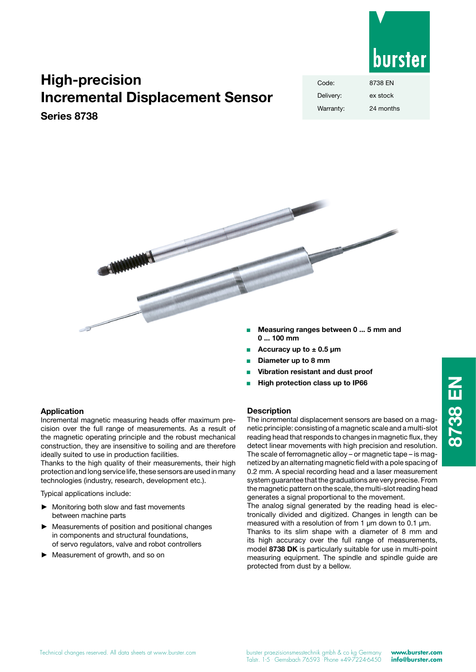

# **High-precision Incremental Displacement Sensor**

# **Series 8738**

| Code:     | 8738 FN   |
|-----------|-----------|
| Delivery: | ex stock  |
| Warranty: | 24 months |



- Accuracy up to  $\pm$  0.5 µm
- <sup>Q</sup> **Diameter up to 8 mm**
- <sup>Q</sup> **Vibration resistant and dust proof**
- <sup>Q</sup> **High protection class up to IP66**

## **Description**

The incremental displacement sensors are based on a magnetic principle: consisting of a magnetic scale and a multi-slot reading head that responds to changes in magnetic flux, they detect linear movements with high precision and resolution. The scale of ferromagnetic alloy – or magnetic tape – is magnetized by an alternating magnetic field with a pole spacing of 0.2 mm. A special recording head and a laser measurement system guarantee that the graduations are very precise. From the magnetic pattern on the scale, the multi-slot reading head generates a signal proportional to the movement.

The analog signal generated by the reading head is electronically divided and digitized. Changes in length can be measured with a resolution of from 1  $\mu$ m down to 0.1  $\mu$ m.

Thanks to its slim shape with a diameter of 8 mm and its high accuracy over the full range of measurements, model **8738 DK** is particularly suitable for use in multi-point measuring equipment. The spindle and spindle guide are protected from dust by a bellow.

# **Application**

Incremental magnetic measuring heads offer maximum precision over the full range of measurements. As a result of the magnetic operating principle and the robust mechanical construction, they are insensitive to soiling and are therefore ideally suited to use in production facilities.

Thanks to the high quality of their measurements, their high protection and long service life, these sensors are used in many technologies (industry, research, development etc.).

Typical applications include:

- ► Monitoring both slow and fast movements between machine parts
- Measurements of position and positional changes in components and structural foundations, of servo regulators, valve and robot controllers
- Measurement of growth, and so on